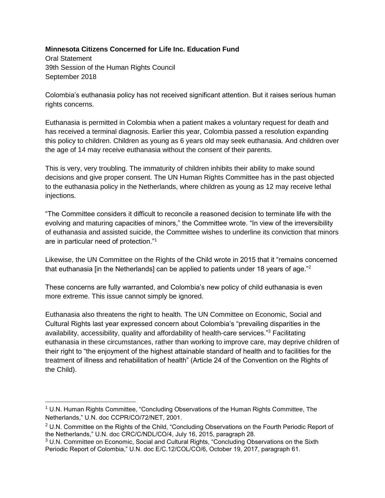## **Minnesota Citizens Concerned for Life Inc. Education Fund**

Oral Statement 39th Session of the Human Rights Council September 2018

 $\overline{a}$ 

Colombia's euthanasia policy has not received significant attention. But it raises serious human rights concerns.

Euthanasia is permitted in Colombia when a patient makes a voluntary request for death and has received a terminal diagnosis. Earlier this year, Colombia passed a resolution expanding this policy to children. Children as young as 6 years old may seek euthanasia. And children over the age of 14 may receive euthanasia without the consent of their parents.

This is very, very troubling. The immaturity of children inhibits their ability to make sound decisions and give proper consent. The UN Human Rights Committee has in the past objected to the euthanasia policy in the Netherlands, where children as young as 12 may receive lethal injections.

"The Committee considers it difficult to reconcile a reasoned decision to terminate life with the evolving and maturing capacities of minors," the Committee wrote. "In view of the irreversibility of euthanasia and assisted suicide, the Committee wishes to underline its conviction that minors are in particular need of protection."<sup>1</sup>

Likewise, the UN Committee on the Rights of the Child wrote in 2015 that it "remains concerned that euthanasia [in the Netherlands] can be applied to patients under 18 years of age."<sup>2</sup>

These concerns are fully warranted, and Colombia's new policy of child euthanasia is even more extreme. This issue cannot simply be ignored.

Euthanasia also threatens the right to health. The UN Committee on Economic, Social and Cultural Rights last year expressed concern about Colombia's "prevailing disparities in the availability, accessibility, quality and affordability of health-care services."<sup>3</sup> Facilitating euthanasia in these circumstances, rather than working to improve care, may deprive children of their right to "the enjoyment of the highest attainable standard of health and to facilities for the treatment of illness and rehabilitation of health" (Article 24 of the Convention on the Rights of the Child).

 $1$  U.N. Human Rights Committee, "Concluding Observations of the Human Rights Committee, The Netherlands," U.N. doc CCPR/CO/72/NET, 2001.

<sup>&</sup>lt;sup>2</sup> U.N. Committee on the Rights of the Child, "Concluding Observations on the Fourth Periodic Report of the Netherlands," U.N. doc CRC/C/NDL/CO/4, July 16, 2015, paragraph 28.

<sup>&</sup>lt;sup>3</sup> U.N. Committee on Economic, Social and Cultural Rights, "Concluding Observations on the Sixth Periodic Report of Colombia," U.N. doc E/C.12/COL/CO/6, October 19, 2017, paragraph 61.